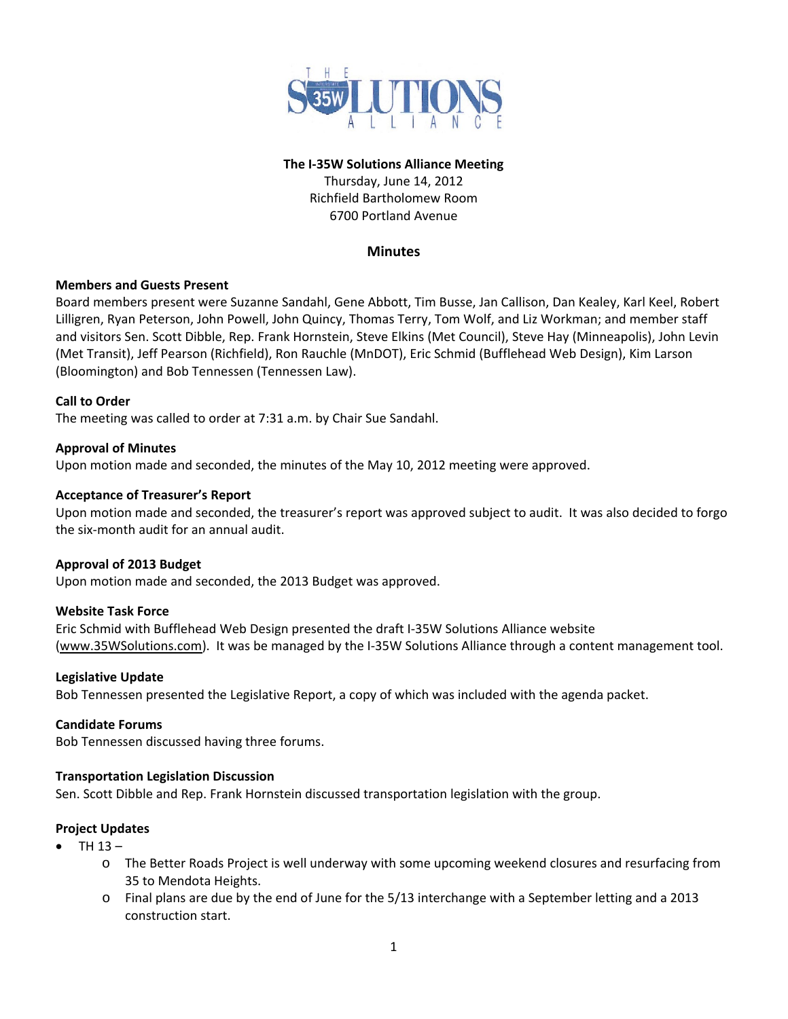

# **The I‐35W Solutions Alliance Meeting**

Thursday, June 14, 2012 Richfield Bartholomew Room 6700 Portland Avenue

# **Minutes**

## **Members and Guests Present**

Board members present were Suzanne Sandahl, Gene Abbott, Tim Busse, Jan Callison, Dan Kealey, Karl Keel, Robert Lilligren, Ryan Peterson, John Powell, John Quincy, Thomas Terry, Tom Wolf, and Liz Workman; and member staff and visitors Sen. Scott Dibble, Rep. Frank Hornstein, Steve Elkins (Met Council), Steve Hay (Minneapolis), John Levin (Met Transit), Jeff Pearson (Richfield), Ron Rauchle (MnDOT), Eric Schmid (Bufflehead Web Design), Kim Larson (Bloomington) and Bob Tennessen (Tennessen Law).

## **Call to Order**

The meeting was called to order at 7:31 a.m. by Chair Sue Sandahl.

#### **Approval of Minutes**

Upon motion made and seconded, the minutes of the May 10, 2012 meeting were approved.

## **Acceptance of Treasurer's Report**

Upon motion made and seconded, the treasurer's report was approved subject to audit. It was also decided to forgo the six‐month audit for an annual audit.

#### **Approval of 2013 Budget**

Upon motion made and seconded, the 2013 Budget was approved.

#### **Website Task Force**

Eric Schmid with Bufflehead Web Design presented the draft I‐35W Solutions Alliance website (www.35WSolutions.com). It was be managed by the I‐35W Solutions Alliance through a content management tool.

#### **Legislative Update**

Bob Tennessen presented the Legislative Report, a copy of which was included with the agenda packet.

#### **Candidate Forums**

Bob Tennessen discussed having three forums.

#### **Transportation Legislation Discussion**

Sen. Scott Dibble and Rep. Frank Hornstein discussed transportation legislation with the group.

#### **Project Updates**

- TH 13
	- o The Better Roads Project is well underway with some upcoming weekend closures and resurfacing from 35 to Mendota Heights.
	- o Final plans are due by the end of June for the 5/13 interchange with a September letting and a 2013 construction start.